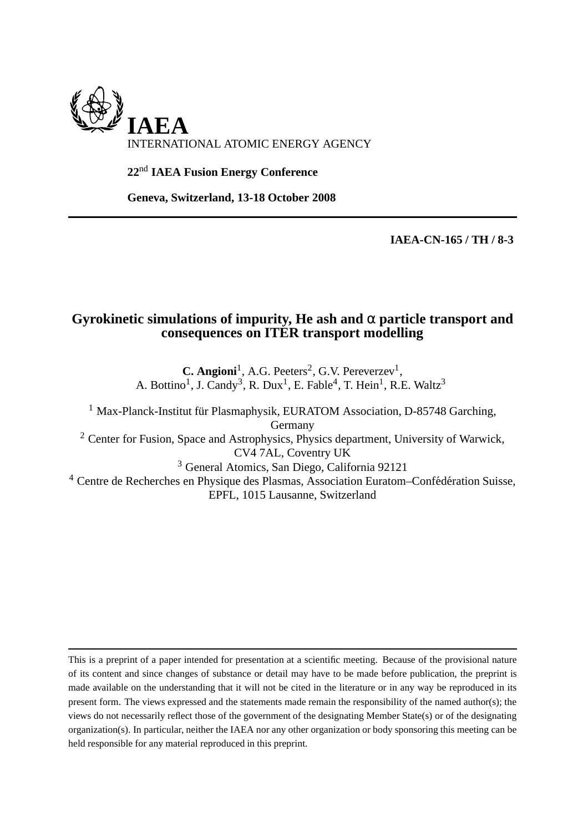

**22**nd **IAEA Fusion Energy Conference**

**Geneva, Switzerland, 13-18 October 2008**

**IAEA-CN-165 / TH / 8-3**

## **Gyrokinetic simulations of impurity, He ash and** α **particle transport and consequences on ITER transport modelling**

**C. Angioni**<sup>1</sup>, A.G. Peeters<sup>2</sup>, G.V. Pereverzev<sup>1</sup>, A. Bottino<sup>1</sup>, J. Candy<sup>3</sup>, R. Dux<sup>1</sup>, E. Fable<sup>4</sup>, T. Hein<sup>1</sup>, R.E. Waltz<sup>3</sup>

 $1$  Max-Planck-Institut für Plasmaphysik, EURATOM Association, D-85748 Garching, Germany <sup>2</sup> Center for Fusion, Space and Astrophysics, Physics department, University of Warwick, CV4 7AL, Coventry UK <sup>3</sup> General Atomics, San Diego, California 92121  $4$  Centre de Recherches en Physique des Plasmas, Association Euratom–Confédération Suisse,

EPFL, 1015 Lausanne, Switzerland

This is a preprint of a paper intended for presentation at a scientific meeting. Because of the provisional nature of its content and since changes of substance or detail may have to be made before publication, the preprint is made available on the understanding that it will not be cited in the literature or in any way be reproduced in its present form. The views expressed and the statements made remain the responsibility of the named author(s); the views do not necessarily reflect those of the government of the designating Member State(s) or of the designating organization(s). In particular, neither the IAEA nor any other organization or body sponsoring this meeting can be held responsible for any material reproduced in this preprint.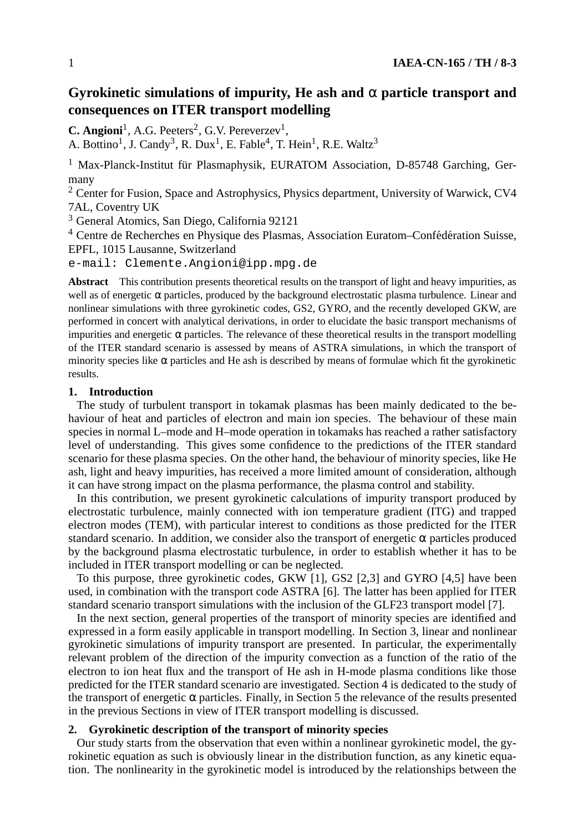# **Gyrokinetic simulations of impurity, He ash and** α **particle transport and consequences on ITER transport modelling**

 $C.$  **Angioni**<sup>1</sup>, A.G. Peeters<sup>2</sup>, G.V. Pereverzev<sup>1</sup>,

A. Bottino<sup>1</sup>, J. Candy<sup>3</sup>, R. Dux<sup>1</sup>, E. Fable<sup>4</sup>, T. Hein<sup>1</sup>, R.E. Waltz<sup>3</sup>

 $1$  Max-Planck-Institut für Plasmaphysik, EURATOM Association, D-85748 Garching, Germany

<sup>2</sup> Center for Fusion, Space and Astrophysics, Physics department, University of Warwick, CV4 7AL, Coventry UK

<sup>3</sup> General Atomics, San Diego, California 92121

<sup>4</sup> Centre de Recherches en Physique des Plasmas, Association Euratom–Confédération Suisse, EPFL, 1015 Lausanne, Switzerland

e-mail: Clemente.Angioni@ipp.mpg.de

**Abstract** This contribution presents theoretical results on the transport of light and heavy impurities, as well as of energetic  $\alpha$  particles, produced by the background electrostatic plasma turbulence. Linear and nonlinear simulations with three gyrokinetic codes, GS2, GYRO, and the recently developed GKW, are performed in concert with analytical derivations, in order to elucidate the basic transport mechanisms of impurities and energetic  $\alpha$  particles. The relevance of these theoretical results in the transport modelling of the ITER standard scenario is assessed by means of ASTRA simulations, in which the transport of minority species like  $\alpha$  particles and He ash is described by means of formulae which fit the gyrokinetic results.

### **1. Introduction**

The study of turbulent transport in tokamak plasmas has been mainly dedicated to the behaviour of heat and particles of electron and main ion species. The behaviour of these main species in normal L–mode and H–mode operation in tokamaks has reached a rather satisfactory level of understanding. This gives some confidence to the predictions of the ITER standard scenario for these plasma species. On the other hand, the behaviour of minority species, like He ash, light and heavy impurities, has received a more limited amount of consideration, although it can have strong impact on the plasma performance, the plasma control and stability.

In this contribution, we present gyrokinetic calculations of impurity transport produced by electrostatic turbulence, mainly connected with ion temperature gradient (ITG) and trapped electron modes (TEM), with particular interest to conditions as those predicted for the ITER standard scenario. In addition, we consider also the transport of energetic  $\alpha$  particles produced by the background plasma electrostatic turbulence, in order to establish whether it has to be included in ITER transport modelling or can be neglected.

To this purpose, three gyrokinetic codes, GKW [1], GS2 [2,3] and GYRO [4,5] have been used, in combination with the transport code ASTRA [6]. The latter has been applied for ITER standard scenario transport simulations with the inclusion of the GLF23 transport model [7].

In the next section, general properties of the transport of minority species are identified and expressed in a form easily applicable in transport modelling. In Section 3, linear and nonlinear gyrokinetic simulations of impurity transport are presented. In particular, the experimentally relevant problem of the direction of the impurity convection as a function of the ratio of the electron to ion heat flux and the transport of He ash in H-mode plasma conditions like those predicted for the ITER standard scenario are investigated. Section 4 is dedicated to the study of the transport of energetic  $\alpha$  particles. Finally, in Section 5 the relevance of the results presented in the previous Sections in view of ITER transport modelling is discussed.

### **2. Gyrokinetic description of the transport of minority species**

Our study starts from the observation that even within a nonlinear gyrokinetic model, the gyrokinetic equation as such is obviously linear in the distribution function, as any kinetic equation. The nonlinearity in the gyrokinetic model is introduced by the relationships between the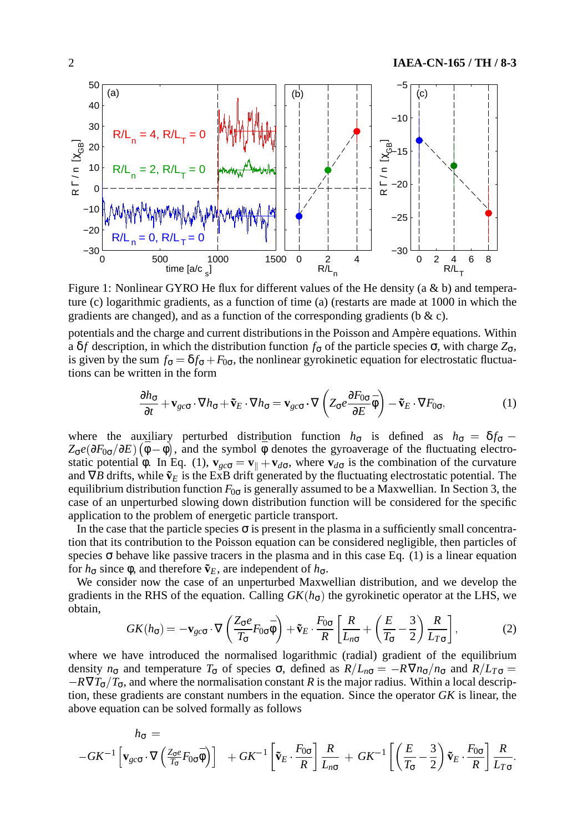

Figure 1: Nonlinear GYRO He flux for different values of the He density (a & b) and temperature (c) logarithmic gradients, as a function of time (a) (restarts are made at 1000 in which the gradients are changed), and as a function of the corresponding gradients ( $\alpha$  ).

potentials and the charge and current distributions in the Poisson and Ampère equations. Within a δ*f* description, in which the distribution function  $f_{\sigma}$  of the particle species  $\sigma$ , with charge  $Z_{\sigma}$ , is given by the sum  $f_{\sigma} = \delta f_{\sigma} + F_{0\sigma}$ , the nonlinear gyrokinetic equation for electrostatic fluctuations can be written in the form

$$
\frac{\partial h_{\sigma}}{\partial t} + \mathbf{v}_{gc\sigma} \cdot \nabla h_{\sigma} + \tilde{\mathbf{v}}_{E} \cdot \nabla h_{\sigma} = \mathbf{v}_{gc\sigma} \cdot \nabla \left( Z_{\sigma} e \frac{\partial F_{0\sigma}}{\partial E} \bar{\phi} \right) - \tilde{\mathbf{v}}_{E} \cdot \nabla F_{0\sigma},\tag{1}
$$

where the auxiliary perturbed distribution function  $h_{\sigma}$  is defined as  $h_{\sigma} = \delta f_{\sigma}$  $Z_{\sigma}e(\partial F_{0\sigma}/\partial E)(\bar{\phi}-\phi)$ , and the symbol  $\bar{\phi}$  denotes the gyroaverage of the fluctuating electrostatic potential φ. In Eq. (1),  $\mathbf{v}_{gc\sigma} = \mathbf{v}_{\parallel} + \mathbf{v}_{d\sigma}$ , where  $\mathbf{v}_{d\sigma}$  is the combination of the curvature and  $∇B$  drifts, while  $\tilde{v}_E$  is the ExB drift generated by the fluctuating electrostatic potential. The equilibrium distribution function  $F_{0\sigma}$  is generally assumed to be a Maxwellian. In Section 3, the case of an unperturbed slowing down distribution function will be considered for the specific application to the problem of energetic particle transport.

In the case that the particle species  $\sigma$  is present in the plasma in a sufficiently small concentration that its contribution to the Poisson equation can be considered negligible, then particles of species  $\sigma$  behave like passive tracers in the plasma and in this case Eq. (1) is a linear equation for  $h_σ$  since  $φ$ , and therefore  $\tilde{v}_E$ , are independent of  $h_σ$ .

We consider now the case of an unperturbed Maxwellian distribution, and we develop the gradients in the RHS of the equation. Calling  $GK(h_{\sigma})$  the gyrokinetic operator at the LHS, we obtain,

$$
GK(h_{\sigma}) = -\mathbf{v}_{gc\sigma} \cdot \nabla \left(\frac{Z_{\sigma}e}{T_{\sigma}}F_{0\sigma}\bar{\phi}\right) + \tilde{\mathbf{v}}_E \cdot \frac{F_{0\sigma}}{R} \left[\frac{R}{L_{n\sigma}} + \left(\frac{E}{T_{\sigma}} - \frac{3}{2}\right)\frac{R}{L_{T\sigma}}\right],
$$
(2)

where we have introduced the normalised logarithmic (radial) gradient of the equilibrium density  $n_{\sigma}$  and temperature  $T_{\sigma}$  of species  $\sigma$ , defined as  $R/L_{n\sigma} = -R\nabla n_{\sigma}/n_{\sigma}$  and  $R/L_{T\sigma} =$  $-R\nabla T_{\sigma}/T_{\sigma}$ , and where the normalisation constant *R* is the major radius. Within a local description, these gradients are constant numbers in the equation. Since the operator *GK* is linear, the above equation can be solved formally as follows

$$
h_{\sigma} = -G K^{-1} \left[ \mathbf{v}_{g c \sigma} \cdot \nabla \left( \frac{Z_{\sigma} e}{T_{\sigma}} F_{0 \sigma} \bar{\phi} \right) \right] + G K^{-1} \left[ \tilde{\mathbf{v}}_{E} \cdot \frac{F_{0 \sigma}}{R} \right] \frac{R}{L_{n \sigma}} + G K^{-1} \left[ \left( \frac{E}{T_{\sigma}} - \frac{3}{2} \right) \tilde{\mathbf{v}}_{E} \cdot \frac{F_{0 \sigma}}{R} \right] \frac{R}{L_{T \sigma}}.
$$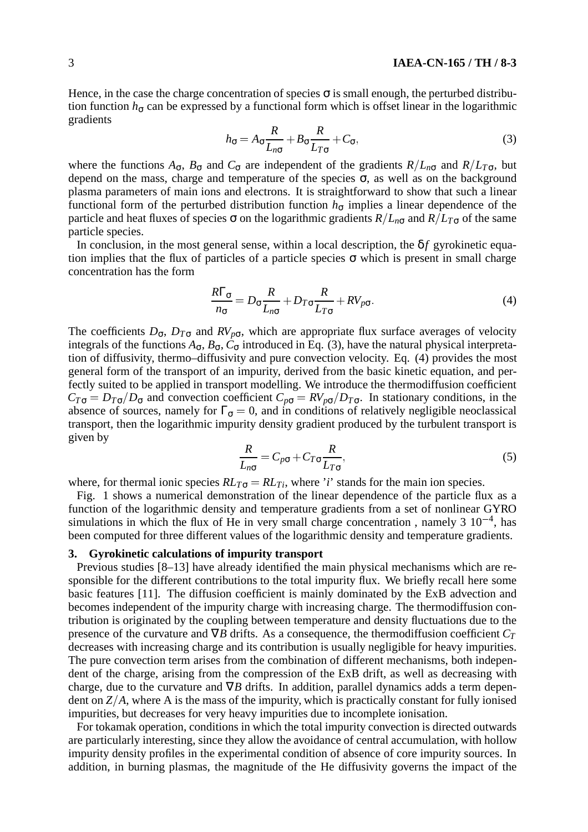Hence, in the case the charge concentration of species  $\sigma$  is small enough, the perturbed distribution function  $h_{\sigma}$  can be expressed by a functional form which is offset linear in the logarithmic gradients

$$
h_{\sigma} = A_{\sigma} \frac{R}{L_{n\sigma}} + B_{\sigma} \frac{R}{L_{T\sigma}} + C_{\sigma},
$$
\n(3)

where the functions  $A_{\sigma}$ ,  $B_{\sigma}$  and  $C_{\sigma}$  are independent of the gradients  $R/L_{n\sigma}$  and  $R/L_{T\sigma}$ , but depend on the mass, charge and temperature of the species  $\sigma$ , as well as on the background plasma parameters of main ions and electrons. It is straightforward to show that such a linear functional form of the perturbed distribution function  $h_{\sigma}$  implies a linear dependence of the particle and heat fluxes of species  $\sigma$  on the logarithmic gradients  $R/L_{n\sigma}$  and  $R/L_{T\sigma}$  of the same particle species.

In conclusion, in the most general sense, within a local description, the  $\delta f$  gyrokinetic equation implies that the flux of particles of a particle species  $\sigma$  which is present in small charge concentration has the form

$$
\frac{R\Gamma_{\sigma}}{n_{\sigma}} = D_{\sigma} \frac{R}{L_{n\sigma}} + D_{T\sigma} \frac{R}{L_{T\sigma}} + RV_{p\sigma}.
$$
\n(4)

The coefficients  $D_{\sigma}$ ,  $D_{T\sigma}$  and  $RV_{p\sigma}$ , which are appropriate flux surface averages of velocity integrals of the functions  $A_{\sigma}$ ,  $B_{\sigma}$ ,  $C_{\sigma}$  introduced in Eq. (3), have the natural physical interpretation of diffusivity, thermo–diffusivity and pure convection velocity. Eq. (4) provides the most general form of the transport of an impurity, derived from the basic kinetic equation, and perfectly suited to be applied in transport modelling. We introduce the thermodiffusion coefficient  $C_{T\sigma} = D_{T\sigma}/D_{\sigma}$  and convection coefficient  $C_{p\sigma} = RV_{p\sigma}/D_{T\sigma}$ . In stationary conditions, in the absence of sources, namely for  $\Gamma_{\sigma} = 0$ , and in conditions of relatively negligible neoclassical transport, then the logarithmic impurity density gradient produced by the turbulent transport is given by

$$
\frac{R}{L_{n\sigma}} = C_{p\sigma} + C_{T\sigma} \frac{R}{L_{T\sigma}},\tag{5}
$$

where, for thermal ionic species  $RL_{T\sigma} = RL_{Ti}$ , where '*i*' stands for the main ion species.

Fig. 1 shows a numerical demonstration of the linear dependence of the particle flux as a function of the logarithmic density and temperature gradients from a set of nonlinear GYRO simulations in which the flux of He in very small charge concentration, namely  $3 \times 10^{-4}$ , has been computed for three different values of the logarithmic density and temperature gradients.

## **3. Gyrokinetic calculations of impurity transport**

Previous studies [8–13] have already identified the main physical mechanisms which are responsible for the different contributions to the total impurity flux. We briefly recall here some basic features [11]. The diffusion coefficient is mainly dominated by the ExB advection and becomes independent of the impurity charge with increasing charge. The thermodiffusion contribution is originated by the coupling between temperature and density fluctuations due to the presence of the curvature and  $\nabla B$  drifts. As a consequence, the thermodiffusion coefficient  $C_T$ decreases with increasing charge and its contribution is usually negligible for heavy impurities. The pure convection term arises from the combination of different mechanisms, both independent of the charge, arising from the compression of the ExB drift, as well as decreasing with charge, due to the curvature and ∇*B* drifts. In addition, parallel dynamics adds a term dependent on  $Z/A$ , where A is the mass of the impurity, which is practically constant for fully ionised impurities, but decreases for very heavy impurities due to incomplete ionisation.

For tokamak operation, conditions in which the total impurity convection is directed outwards are particularly interesting, since they allow the avoidance of central accumulation, with hollow impurity density profiles in the experimental condition of absence of core impurity sources. In addition, in burning plasmas, the magnitude of the He diffusivity governs the impact of the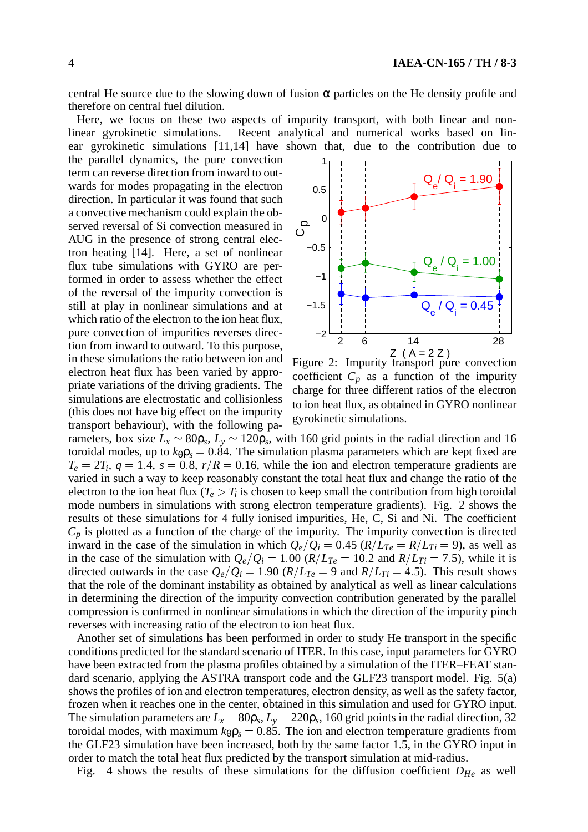central He source due to the slowing down of fusion  $\alpha$  particles on the He density profile and therefore on central fuel dilution.

Here, we focus on these two aspects of impurity transport, with both linear and nonlinear gyrokinetic simulations. Recent analytical and numerical works based on linear gyrokinetic simulations [11,14] have shown that, due to the contribution due to

the parallel dynamics, the pure convection term can reverse direction from inward to outwards for modes propagating in the electron direction. In particular it was found that such a convective mechanism could explain the observed reversal of Si convection measured in AUG in the presence of strong central electron heating [14]. Here, a set of nonlinear flux tube simulations with GYRO are performed in order to assess whether the effect of the reversal of the impurity convection is still at play in nonlinear simulations and at which ratio of the electron to the ion heat flux, pure convection of impurities reverses direction from inward to outward. To this purpose, in these simulations the ratio between ion and electron heat flux has been varied by appropriate variations of the driving gradients. The simulations are electrostatic and collisionless (this does not have big effect on the impurity transport behaviour), with the following pa-



Figure 2: Impurity transport pure convection coefficient  $C_p$  as a function of the impurity charge for three different ratios of the electron to ion heat flux, as obtained in GYRO nonlinear gyrokinetic simulations.

rameters, box size  $L_x \simeq 80 \rho_s$ ,  $L_y \simeq 120 \rho_s$ , with 160 grid points in the radial direction and 16 toroidal modes, up to  $k_{\theta} \rho_s = 0.84$ . The simulation plasma parameters which are kept fixed are  $T_e = 2T_i$ ,  $q = 1.4$ ,  $s = 0.8$ ,  $r/R = 0.16$ , while the ion and electron temperature gradients are varied in such a way to keep reasonably constant the total heat flux and change the ratio of the electron to the ion heat flux  $(T_e > T_i)$  is chosen to keep small the contribution from high toroidal mode numbers in simulations with strong electron temperature gradients). Fig. 2 shows the results of these simulations for 4 fully ionised impurities, He, C, Si and Ni. The coefficient  $C_p$  is plotted as a function of the charge of the impurity. The impurity convection is directed inward in the case of the simulation in which  $Q_e/Q_i = 0.45$  ( $R/L_{Te} = R/L_{Ti} = 9$ ), as well as in the case of the simulation with  $Q_e/Q_i = 1.00$  ( $R/L_{Te} = 10.2$  and  $R/L_{Ti} = 7.5$ ), while it is directed outwards in the case  $Q_e/Q_i = 1.90$  ( $R/L_{Te} = 9$  and  $R/L_{Ti} = 4.5$ ). This result shows that the role of the dominant instability as obtained by analytical as well as linear calculations in determining the direction of the impurity convection contribution generated by the parallel compression is confirmed in nonlinear simulations in which the direction of the impurity pinch reverses with increasing ratio of the electron to ion heat flux.

Another set of simulations has been performed in order to study He transport in the specific conditions predicted for the standard scenario of ITER. In this case, input parameters for GYRO have been extracted from the plasma profiles obtained by a simulation of the ITER–FEAT standard scenario, applying the ASTRA transport code and the GLF23 transport model. Fig. 5(a) shows the profiles of ion and electron temperatures, electron density, as well as the safety factor, frozen when it reaches one in the center, obtained in this simulation and used for GYRO input. The simulation parameters are  $L_x = 80\rho_s$ ,  $L_y = 220\rho_s$ , 160 grid points in the radial direction, 32 toroidal modes, with maximum  $k_{\theta} \rho_s = 0.85$ . The ion and electron temperature gradients from the GLF23 simulation have been increased, both by the same factor 1.5, in the GYRO input in order to match the total heat flux predicted by the transport simulation at mid-radius.

Fig. 4 shows the results of these simulations for the diffusion coefficient *DHe* as well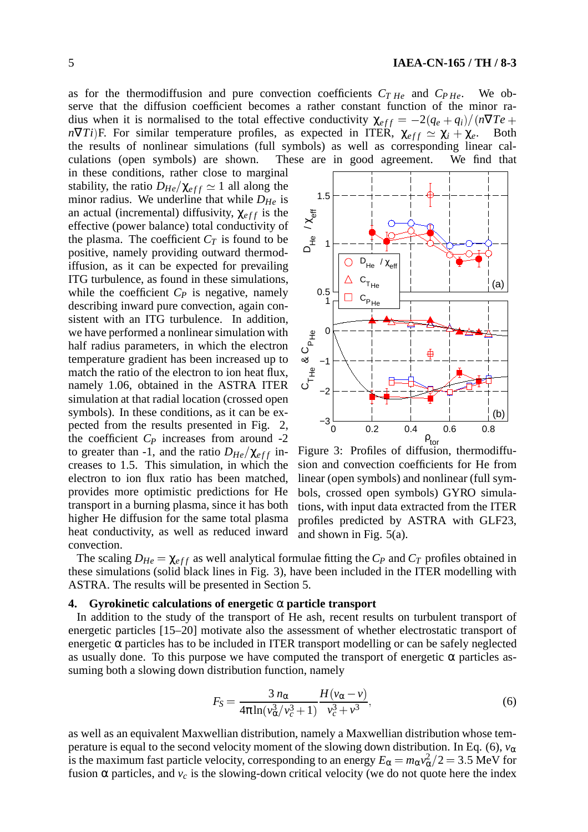as for the thermodiffusion and pure convection coefficients  $C_{THe}$  and  $C_{PHe}$ . We observe that the diffusion coefficient becomes a rather constant function of the minor radius when it is normalised to the total effective conductivity  $\chi_{eff} = -2(q_e + q_i)/(n\nabla Te +$ *n* $\nabla T_i$ )F. For similar temperature profiles, as expected in ITER,  $\chi_{eff} \simeq \chi_i + \chi_e$ . Both the results of nonlinear simulations (full symbols) as well as corresponding linear calculations (open symbols) are shown. These are in good agreement. We find that

in these conditions, rather close to marginal stability, the ratio  $D_{He}/\chi_{eff} \simeq 1$  all along the minor radius. We underline that while  $D_{He}$  is an actual (incremental) diffusivity,  $\chi_{eff}$  is the effective (power balance) total conductivity of the plasma. The coefficient  $C_T$  is found to be positive, namely providing outward thermodiffusion, as it can be expected for prevailing ITG turbulence, as found in these simulations, while the coefficient  $C_P$  is negative, namely describing inward pure convection, again consistent with an ITG turbulence. In addition, we have performed a nonlinear simulation with half radius parameters, in which the electron temperature gradient has been increased up to match the ratio of the electron to ion heat flux, namely 1.06, obtained in the ASTRA ITER simulation at that radial location (crossed open symbols). In these conditions, as it can be expected from the results presented in Fig. 2, the coefficient  $C_P$  increases from around  $-2$ to greater than -1, and the ratio  $D_{He}/\chi_{eff}$  increases to 1.5. This simulation, in which the electron to ion flux ratio has been matched, provides more optimistic predictions for He transport in a burning plasma, since it has both higher He diffusion for the same total plasma heat conductivity, as well as reduced inward convection.



Figure 3: Profiles of diffusion, thermodiffusion and convection coefficients for He from linear (open symbols) and nonlinear (full symbols, crossed open symbols) GYRO simulations, with input data extracted from the ITER profiles predicted by ASTRA with GLF23, and shown in Fig. 5(a).

The scaling  $D_{He} = \chi_{eff}$  as well analytical formulae fitting the  $C_P$  and  $C_T$  profiles obtained in these simulations (solid black lines in Fig. 3), have been included in the ITER modelling with ASTRA. The results will be presented in Section 5.

### **4. Gyrokinetic calculations of energetic** α **particle transport**

In addition to the study of the transport of He ash, recent results on turbulent transport of energetic particles [15–20] motivate also the assessment of whether electrostatic transport of energetic  $\alpha$  particles has to be included in ITER transport modelling or can be safely neglected as usually done. To this purpose we have computed the transport of energetic  $\alpha$  particles assuming both a slowing down distribution function, namely

$$
F_S = \frac{3 n_{\alpha}}{4\pi \ln(v_{\alpha}^3/v_c^3 + 1)} \frac{H(v_{\alpha} - v)}{v_c^3 + v^3},\tag{6}
$$

as well as an equivalent Maxwellian distribution, namely a Maxwellian distribution whose temperature is equal to the second velocity moment of the slowing down distribution. In Eq. (6),  $v_{\alpha}$ is the maximum fast particle velocity, corresponding to an energy  $E_\alpha = m_\alpha v_\alpha^2/2 = 3.5$  MeV for fusion  $\alpha$  particles, and  $v_c$  is the slowing-down critical velocity (we do not quote here the index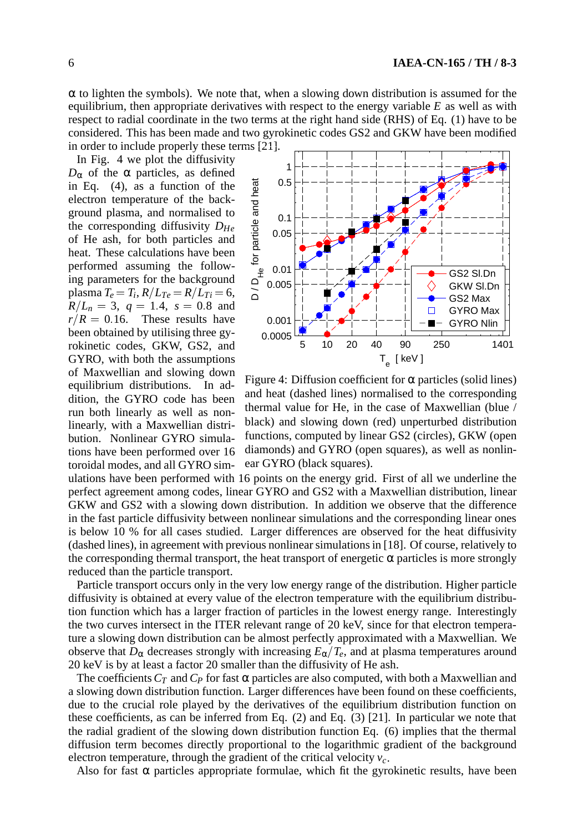$\alpha$  to lighten the symbols). We note that, when a slowing down distribution is assumed for the equilibrium, then appropriate derivatives with respect to the energy variable *E* as well as with respect to radial coordinate in the two terms at the right hand side (RHS) of Eq. (1) have to be considered. This has been made and two gyrokinetic codes GS2 and GKW have been modified in order to include properly these terms [21].

In Fig. 4 we plot the diffusivity  $D<sub>α</sub>$  of the α particles, as defined in Eq. (4), as a function of the electron temperature of the background plasma, and normalised to the corresponding diffusivity *DHe* of He ash, for both particles and heat. These calculations have been performed assuming the following parameters for the background in Eq. (4), as a function of the<br>electron temperature of the back-<br>ground plasma, and normalised to<br>the corresponding diffusivity  $D_{He}$ <br>of He ash, for both particles and<br>heat. These calculations have been<br>performed assum  $R/L_n = 3$ ,  $q = 1.4$ ,  $s = 0.8$  and  $r/R = 0.16$ . These results have been obtained by utilising three gyrokinetic codes, GKW, GS2, and GYRO, with both the assumptions of Maxwellian and slowing down equilibrium distributions. In addition, the GYRO code has been run both linearly as well as nonlinearly, with a Maxwellian distribution. Nonlinear GYRO simulations have been performed over 16 toroidal modes, and all GYRO sim-



Figure 4: Diffusion coefficient for  $\alpha$  particles (solid lines) and heat (dashed lines) normalised to the corresponding thermal value for He, in the case of Maxwellian (blue / black) and slowing down (red) unperturbed distribution functions, computed by linear GS2 (circles), GKW (open diamonds) and GYRO (open squares), as well as nonlinear GYRO (black squares).

ulations have been performed with 16 points on the energy grid. First of all we underline the perfect agreement among codes, linear GYRO and GS2 with a Maxwellian distribution, linear GKW and GS2 with a slowing down distribution. In addition we observe that the difference in the fast particle diffusivity between nonlinear simulations and the corresponding linear ones is below 10 % for all cases studied. Larger differences are observed for the heat diffusivity (dashed lines), in agreement with previous nonlinear simulations in [18]. Of course, relatively to the corresponding thermal transport, the heat transport of energetic  $\alpha$  particles is more strongly reduced than the particle transport.

Particle transport occurs only in the very low energy range of the distribution. Higher particle diffusivity is obtained at every value of the electron temperature with the equilibrium distribution function which has a larger fraction of particles in the lowest energy range. Interestingly the two curves intersect in the ITER relevant range of 20 keV, since for that electron temperature a slowing down distribution can be almost perfectly approximated with a Maxwellian. We observe that  $D_{\alpha}$  decreases strongly with increasing  $E_{\alpha}/T_e$ , and at plasma temperatures around 20 keV is by at least a factor 20 smaller than the diffusivity of He ash.

The coefficients  $C_T$  and  $C_P$  for fast  $\alpha$  particles are also computed, with both a Maxwellian and a slowing down distribution function. Larger differences have been found on these coefficients, due to the crucial role played by the derivatives of the equilibrium distribution function on these coefficients, as can be inferred from Eq. (2) and Eq. (3) [21]. In particular we note that the radial gradient of the slowing down distribution function Eq. (6) implies that the thermal diffusion term becomes directly proportional to the logarithmic gradient of the background electron temperature, through the gradient of the critical velocity *vc*.

Also for fast  $\alpha$  particles appropriate formulae, which fit the gyrokinetic results, have been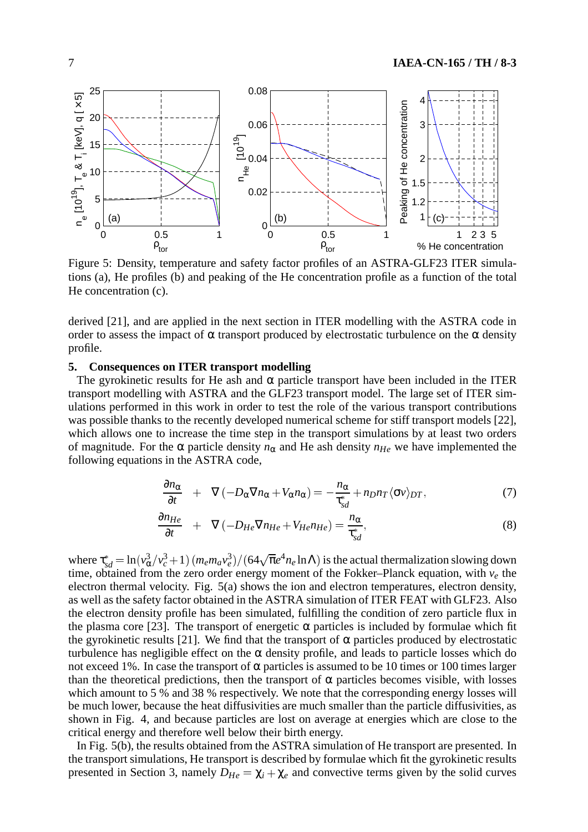

Figure 5: Density, temperature and safety factor profiles of an ASTRA-GLF23 ITER simulations (a), He profiles (b) and peaking of the He concentration profile as a function of the total He concentration (c).

derived [21], and are applied in the next section in ITER modelling with the ASTRA code in order to assess the impact of  $\alpha$  transport produced by electrostatic turbulence on the  $\alpha$  density profile.

### **5. Consequences on ITER transport modelling**

The gyrokinetic results for He ash and  $\alpha$  particle transport have been included in the ITER transport modelling with ASTRA and the GLF23 transport model. The large set of ITER simulations performed in this work in order to test the role of the various transport contributions was possible thanks to the recently developed numerical scheme for stiff transport models [22], which allows one to increase the time step in the transport simulations by at least two orders of magnitude. For the  $\alpha$  particle density  $n_{\alpha}$  and He ash density  $n_{He}$  we have implemented the following equations in the ASTRA code,

$$
\frac{\partial n_{\alpha}}{\partial t} + \nabla \left( -D_{\alpha} \nabla n_{\alpha} + V_{\alpha} n_{\alpha} \right) = -\frac{n_{\alpha}}{\tau_{sd}^*} + n_D n_T \langle \sigma v \rangle_{DT},\tag{7}
$$

$$
\frac{\partial n_{He}}{\partial t} + \nabla \left( -D_{He} \nabla n_{He} + V_{He} n_{He} \right) = \frac{n_{\alpha}}{\tau_{sd}^*},\tag{8}
$$

where  $\tau_{sd}^* = \ln(v_\alpha^3/v_c^3 + 1)(m_e m_a v_e^3)/(64\sqrt{\pi}e^4 n_e \ln\Lambda)$  is the actual thermalization slowing down time, obtained from the zero order energy moment of the Fokker–Planck equation, with  $v_e$  the electron thermal velocity. Fig. 5(a) shows the ion and electron temperatures, electron density, as well as the safety factor obtained in the ASTRA simulation of ITER FEAT with GLF23. Also the electron density profile has been simulated, fulfilling the condition of zero particle flux in the plasma core [23]. The transport of energetic  $\alpha$  particles is included by formulae which fit the gyrokinetic results [21]. We find that the transport of  $\alpha$  particles produced by electrostatic turbulence has negligible effect on the  $\alpha$  density profile, and leads to particle losses which do not exceed 1%. In case the transport of  $\alpha$  particles is assumed to be 10 times or 100 times larger than the theoretical predictions, then the transport of  $\alpha$  particles becomes visible, with losses which amount to 5 % and 38 % respectively. We note that the corresponding energy losses will be much lower, because the heat diffusivities are much smaller than the particle diffusivities, as shown in Fig. 4, and because particles are lost on average at energies which are close to the critical energy and therefore well below their birth energy.

In Fig. 5(b), the results obtained from the ASTRA simulation of He transport are presented. In the transport simulations, He transport is described by formulae which fit the gyrokinetic results presented in Section 3, namely  $D_{He} = \chi_i + \chi_e$  and convective terms given by the solid curves